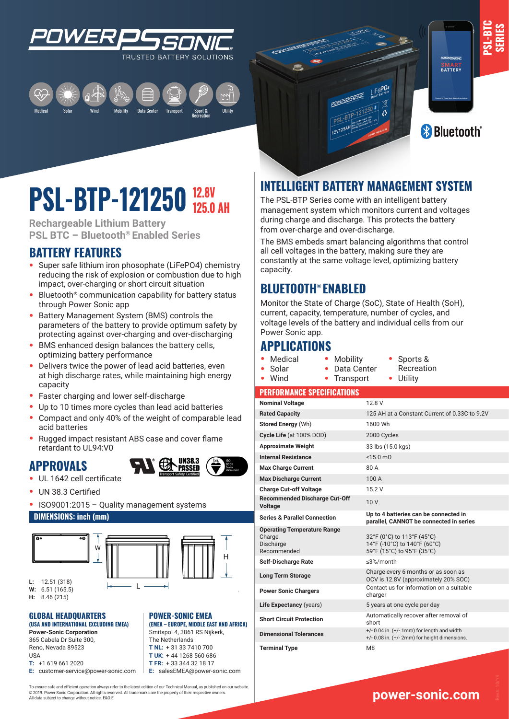

Medical Mobility Data Center Transport Sport & Recreation Solar Utility Wind



**PSL-BTC SERIES**

## **12.8V PSL-BIP-121250** 125.0 AH

**Rechargeable Lithium Battery PSL BTC – Bluetooth® Enabled Series**

## **BATTERY FEATURES**

- **•** Super safe lithium iron phosophate (LiFePO4) chemistry reducing the risk of explosion or combustion due to high impact, over-charging or short circuit situation
- **•** Bluetooth® communication capability for battery status through Power Sonic app
- **•** Battery Management System (BMS) controls the parameters of the battery to provide optimum safety by protecting against over-charging and over-discharging
- **•** BMS enhanced design balances the battery cells, optimizing battery performance
- **•** Delivers twice the power of lead acid batteries, even at high discharge rates, while maintaining high energy capacity
- **•** Faster charging and lower self-discharge
- **•** Up to 10 times more cycles than lead acid batteries
- **•** Compact and only 40% of the weight of comparable lead acid batteries
- **•** Rugged impact resistant ABS case and cover flame retardant to UL94:V0

### **APPROVALS**



- **•** UL 1642 cell certificate
- **•** UN 38.3 Certified
- **•** ISO9001:2015 Quality management systems

W

L

#### **DIMENSIONS: inch (mm)**





**POWER-SONIC EMEA** 

**(EMEA – EUROPE, MIDDLE EAST AND AFRICA)** Smitspol 4, 3861 RS Nijkerk, The Netherlands **T NL:** + 31 33 7410 700 **T UK:** + 44 1268 560 686 **T FR:** + 33 344 32 18 17 **E:** salesEMEA@power-sonic.com

**W:** 6.51 (165.5)

**H:** 8.46 (215)

#### **GLOBAL HEADQUARTERS (USA AND INTERNATIONAL EXCLUDING EMEA)**

L 365 Cabela Dr Suite 300, **Power-Sonic Corporation** Reno, Nevada 89523 USA **T:** +1 619 661 2020

**E:** customer-service@power-sonic.com

To ensure safe and efficient operation always refer to the latest edition of our Technical Manual, as published on our website. © 2019. Power-Sonic Corporation. All rights reserved. All trademarks are the property of their respective owners. All data subject to change without notice. E&O.E

## **INTELLIGENT BATTERY MANAGEMENT SYSTEM**

 $\frac{1}{12V125A}$ 

The PSL-BTP Series come with an intelligent battery management system which monitors current and voltages during charge and discharge. This protects the battery from over-charge and over-discharge.

The BMS embeds smart balancing algorithms that control all cell voltages in the battery, making sure they are constantly at the same voltage level, optimizing battery capacity.

## **BLUETOOTH® ENABLED**

Monitor the State of Charge (SoC), State of Health (SoH), current, capacity, temperature, number of cycles, and voltage levels of the battery and individual cells from our Power Sonic app.

**•** Mobility

## **APPLICATIONS**

**•** Medical

H

- **•** Data Center **•** Sports & Recreation
- **•** Solar **•** Wind **•** Transport
	- **•** Utility

#### **PERFORMANCE SPECIFICATIONS**

| <b>Nominal Voltage</b>                                                   | 12.8 V                                                                                            |
|--------------------------------------------------------------------------|---------------------------------------------------------------------------------------------------|
| <b>Rated Capacity</b>                                                    | 125 AH at a Constant Current of 0.33C to 9.2V                                                     |
| Stored Energy (Wh)                                                       | 1600 Wh                                                                                           |
| Cycle Life (at 100% DOD)                                                 | 2000 Cycles                                                                                       |
| <b>Approximate Weight</b>                                                | 33 lbs (15.0 kgs)                                                                                 |
| <b>Internal Resistance</b>                                               | $\leq$ 15.0 m $\Omega$                                                                            |
| <b>Max Charge Current</b>                                                | 80 A                                                                                              |
| <b>Max Discharge Current</b>                                             | 100A                                                                                              |
| <b>Charge Cut-off Voltage</b>                                            | 15.2 V                                                                                            |
| <b>Recommended Discharge Cut-Off</b><br><b>Voltage</b>                   | 10V                                                                                               |
| <b>Series &amp; Parallel Connection</b>                                  | Up to 4 batteries can be connected in<br>parallel, CANNOT be connected in series                  |
| <b>Operating Temperature Range</b><br>Charge<br>Discharge<br>Recommended | 32°F (0°C) to 113°F (45°C)<br>14°F (-10°C) to 140°F (60°C)<br>59°F (15°C) to 95°F (35°C)          |
| <b>Self-Discharge Rate</b>                                               | ≤3%/month                                                                                         |
| <b>Long Term Storage</b>                                                 | Charge every 6 months or as soon as<br>OCV is 12.8V (approximately 20% SOC)                       |
| <b>Power Sonic Chargers</b>                                              | Contact us for information on a suitable<br>charger                                               |
| Life Expectancy (years)                                                  | 5 years at one cycle per day                                                                      |
| <b>Short Circuit Protection</b>                                          | Automatically recover after removal of<br>short                                                   |
| <b>Dimensional Tolerances</b>                                            | $+/- 0.04$ in. $(+/- 1$ mm) for length and width<br>+/- 0.08 in. (+/- 2mm) for height dimensions. |
| <b>Terminal Type</b>                                                     | M <sub>8</sub>                                                                                    |

## **www.power-sonic.com**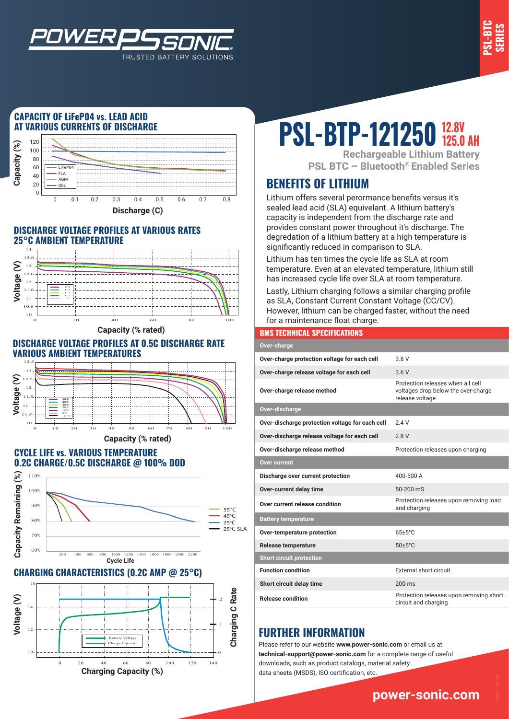

#### **CAPACITY OF LiFeP04 vs. LEAD ACID AT VARIOUS CURRENTS OF DISCHARGE**

*WER* 



TRUSTED BATTERY SOLUTIONS

#### **DISCHARGE VOLTAGE PROFILES AT VARIOUS RATES 25°C AMBIENT TEMPERATURE**



**Capacity (% rated)**

#### **DISCHARGE VOLTAGE PROFILES AT 0.5C DISCHARGE RATE VARIOUS AMBIENT TEMPERATURES**



#### **CYCLE LIFE vs. VARIOUS TEMPERATURE 0.2C CHARGE/0.5C DISCHARGE @ 100% DOD**



#### **CHARGING CHARACTERISTICS (0.2C AMP @ 25°C)**



# **PSL-BTP-121250 12.8V**

**Rechargeable Lithium Battery PSL BTC – Bluetooth® Enabled Series**

## **BENEFITS OF LITHIUM**

Lithium offers several perormance benefits versus it's sealed lead acid (SLA) equivelant. A lithium battery's capacity is independent from the discharge rate and provides constant power throughout it's discharge. The degredation of a lithium battery at a high temperature is significantly reduced in comparison to SLA.

Lithium has ten times the cycle life as SLA at room temperature. Even at an elevated temperature, lithium still has increased cycle life over SLA at room temperature.

Lastly, Lithium charging follows a similar charging profile as SLA, Constant Current Constant Voltage (CC/CV). However, lithium can be charged faster, without the need for a maintenance float charge.

#### **BMS TECHNICAL SPECIFICATIONS**

| Over-charge                                     |                                                                                             |
|-------------------------------------------------|---------------------------------------------------------------------------------------------|
| Over-charge protection voltage for each cell    | 3.8 V                                                                                       |
| Over-charge release voltage for each cell       | 3.6V                                                                                        |
| Over-charge release method                      | Protection releases when all cell<br>voltages drop below the over-charge<br>release voltage |
| Over-discharge                                  |                                                                                             |
| Over-discharge protection voltage for each cell | 24V                                                                                         |
| Over-discharge release voltage for each cell    | 2.8V                                                                                        |
| Over-discharge release method                   | Protection releases upon charging                                                           |
| <b>Over current</b>                             |                                                                                             |
| Discharge over current protection               | 400-500 A                                                                                   |
| Over-current delay time                         | 50-200 mS                                                                                   |
| Over current release condition                  | Protection releases upon removing load<br>and charging                                      |
| <b>Battery temperature</b>                      |                                                                                             |
| Over-temperature protection                     | $65 \pm 5^{\circ}$ C                                                                        |
| <b>Release temperature</b>                      | $50 \pm 5^{\circ}$ C                                                                        |
| <b>Short circuit protection</b>                 |                                                                                             |
| <b>Function condition</b>                       | External short circuit                                                                      |
| Short circuit delay time                        | $200 \text{ ms}$                                                                            |
| <b>Release condition</b>                        | Protection releases upon removing short<br>circuit and charging                             |

## **FURTHER INFORMATION**

Please refer to our website **www.power-sonic.com** or email us at **technical-support@power-sonic.com** for a complete range of useful downloads, such as product catalogs, material safety data sheets (MSDS), ISO certification, etc.